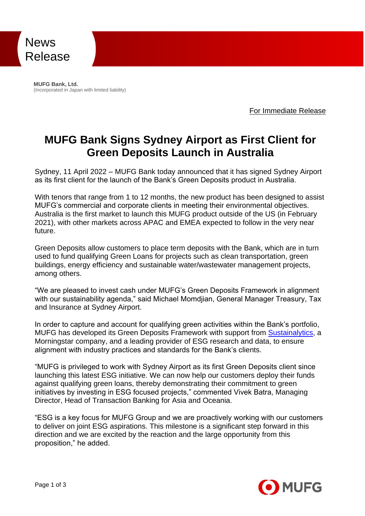

**MUFG Bank, Ltd.** (Incorporated in Japan with limited liability)

For Immediate Release

## **MUFG Bank Signs Sydney Airport as First Client for Green Deposits Launch in Australia**

Sydney, 11 April 2022 – MUFG Bank today announced that it has signed Sydney Airport as its first client for the launch of the Bank's Green Deposits product in Australia.

With tenors that range from 1 to 12 months, the new product has been designed to assist MUFG's commercial and corporate clients in meeting their environmental objectives. Australia is the first market to launch this MUFG product outside of the US (in February 2021), with other markets across APAC and EMEA expected to follow in the very near future.

Green Deposits allow customers to place term deposits with the Bank, which are in turn used to fund qualifying Green Loans for projects such as clean transportation, green buildings, energy efficiency and sustainable water/wastewater management projects, among others.

"We are pleased to invest cash under MUFG's Green Deposits Framework in alignment with our sustainability agenda," said Michael Momdjian, General Manager Treasury, Tax and Insurance at Sydney Airport.

In order to capture and account for qualifying green activities within the Bank's portfolio, MUFG has developed its Green Deposits Framework with support from [Sustainalytics,](https://urldefense.com/v3/__https:/c212.net/c/link/?t=0&l=en&o=3073633-1&h=3059890123&u=http*3A*2F*2Fwww.sustainalytics.com*2F&a=Sustainalytics__;JSUlJQ!!D8DunMSJ4IdR!u3Kd3ozzTboJPBwCLWvWEvpBUlCBd9LHyH2NJoEbUzxrBD-EsHD9KbHAiKoqKeXlxtk6dgEMiB3j$) a Morningstar company, and a leading provider of ESG research and data, to ensure alignment with industry practices and standards for the Bank's clients.

"MUFG is privileged to work with Sydney Airport as its first Green Deposits client since launching this latest ESG initiative. We can now help our customers deploy their funds against qualifying green loans, thereby demonstrating their commitment to green initiatives by investing in ESG focused projects," commented Vivek Batra, Managing Director, Head of Transaction Banking for Asia and Oceania.

"ESG is a key focus for MUFG Group and we are proactively working with our customers to deliver on joint ESG aspirations. This milestone is a significant step forward in this direction and we are excited by the reaction and the large opportunity from this proposition," he added.

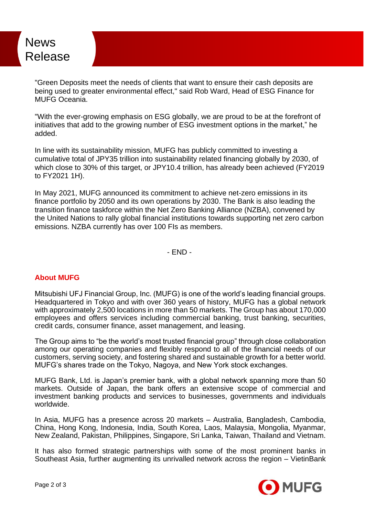## News Release

"Green Deposits meet the needs of clients that want to ensure their cash deposits are being used to greater environmental effect," said Rob Ward, Head of ESG Finance for MUFG Oceania.

"With the ever-growing emphasis on ESG globally, we are proud to be at the forefront of initiatives that add to the growing number of ESG investment options in the market," he added.

In line with its sustainability mission, MUFG has publicly committed to investing a cumulative total of JPY35 trillion into sustainability related financing globally by 2030, of which close to 30% of this target, or JPY10.4 trillion, has already been achieved (FY2019 to FY2021 1H).

In May 2021, MUFG announced its commitment to achieve net-zero emissions in its finance portfolio by 2050 and its own operations by 2030. The Bank is also leading the transition finance taskforce within the Net Zero Banking Alliance (NZBA), convened by the United Nations to rally global financial institutions towards supporting net zero carbon emissions. NZBA currently has over 100 FIs as members.

- END -

## **About MUFG**

Mitsubishi UFJ Financial Group, Inc. (MUFG) is one of the world's leading financial groups. Headquartered in Tokyo and with over 360 years of history, MUFG has a global network with approximately 2,500 locations in more than 50 markets. The Group has about 170,000 employees and offers services including commercial banking, trust banking, securities, credit cards, consumer finance, asset management, and leasing.

The Group aims to "be the world's most trusted financial group" through close collaboration among our operating companies and flexibly respond to all of the financial needs of our customers, serving society, and fostering shared and sustainable growth for a better world. MUFG's shares trade on the Tokyo, Nagoya, and New York stock exchanges.

MUFG Bank, Ltd. is Japan's premier bank, with a global network spanning more than 50 markets. Outside of Japan, the bank offers an extensive scope of commercial and investment banking products and services to businesses, governments and individuals worldwide.

In Asia, MUFG has a presence across 20 markets – Australia, Bangladesh, Cambodia, China, Hong Kong, Indonesia, India, South Korea, Laos, Malaysia, Mongolia, Myanmar, New Zealand, Pakistan, Philippines, Singapore, Sri Lanka, Taiwan, Thailand and Vietnam.

It has also formed strategic partnerships with some of the most prominent banks in Southeast Asia, further augmenting its unrivalled network across the region – VietinBank